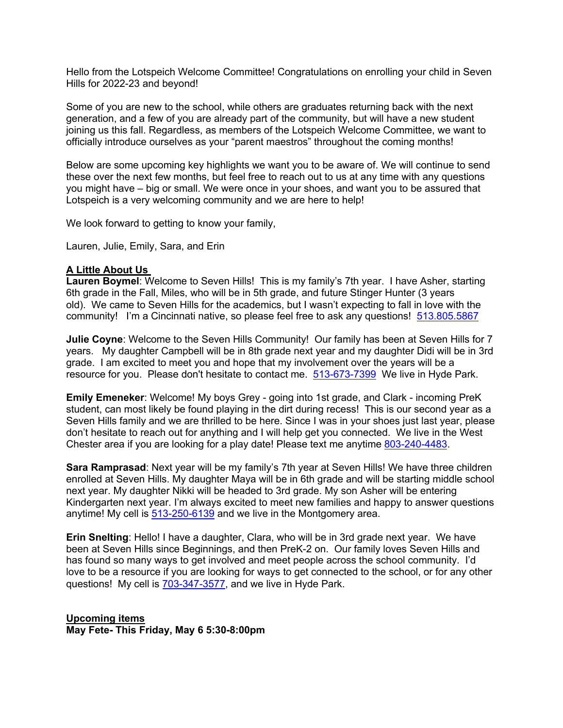Hello from the Lotspeich Welcome Committee! Congratulations on enrolling your child in Seven Hills for 2022-23 and beyond!

Some of you are new to the school, while others are graduates returning back with the next generation, and a few of you are already part of the community, but will have a new student joining us this fall. Regardless, as members of the Lotspeich Welcome Committee, we want to officially introduce ourselves as your "parent maestros" throughout the coming months!

Below are some upcoming key highlights we want you to be aware of. We will continue to send these over the next few months, but feel free to reach out to us at any time with any questions you might have – big or small. We were once in your shoes, and want you to be assured that Lotspeich is a very welcoming community and we are here to help!

We look forward to getting to know your family,

Lauren, Julie, Emily, Sara, and Erin

## **A Little About Us**

**Lauren Boymel**: Welcome to Seven Hills! This is my family's 7th year. I have Asher, starting 6th grade in the Fall, Miles, who will be in 5th grade, and future Stinger Hunter (3 years old). We came to Seven Hills for the academics, but I wasn't expecting to fall in love with the community! I'm a Cincinnati native, so please feel free to ask any questions! 513.805.5867

**Julie Coyne**: Welcome to the Seven Hills Community! Our family has been at Seven Hills for 7 years. My daughter Campbell will be in 8th grade next year and my daughter Didi will be in 3rd grade. I am excited to meet you and hope that my involvement over the years will be a resource for you. Please don't hesitate to contact me. 513-673-7399 We live in Hyde Park.

**Emily Emeneker**: Welcome! My boys Grey - going into 1st grade, and Clark - incoming PreK student, can most likely be found playing in the dirt during recess! This is our second year as a Seven Hills family and we are thrilled to be here. Since I was in your shoes just last year, please don't hesitate to reach out for anything and I will help get you connected. We live in the West Chester area if you are looking for a play date! Please text me anytime 803-240-4483.

**Sara Ramprasad**: Next year will be my family's 7th year at Seven Hills! We have three children enrolled at Seven Hills. My daughter Maya will be in 6th grade and will be starting middle school next year. My daughter Nikki will be headed to 3rd grade. My son Asher will be entering Kindergarten next year. I'm always excited to meet new families and happy to answer questions anytime! My cell is 513-250-6139 and we live in the Montgomery area.

**Erin Snelting**: Hello! I have a daughter, Clara, who will be in 3rd grade next year. We have been at Seven Hills since Beginnings, and then PreK-2 on. Our family loves Seven Hills and has found so many ways to get involved and meet people across the school community. I'd love to be a resource if you are looking for ways to get connected to the school, or for any other questions! My cell is 703-347-3577, and we live in Hyde Park.

**Upcoming items May Fete- This Friday, May 6 5:30-8:00pm**